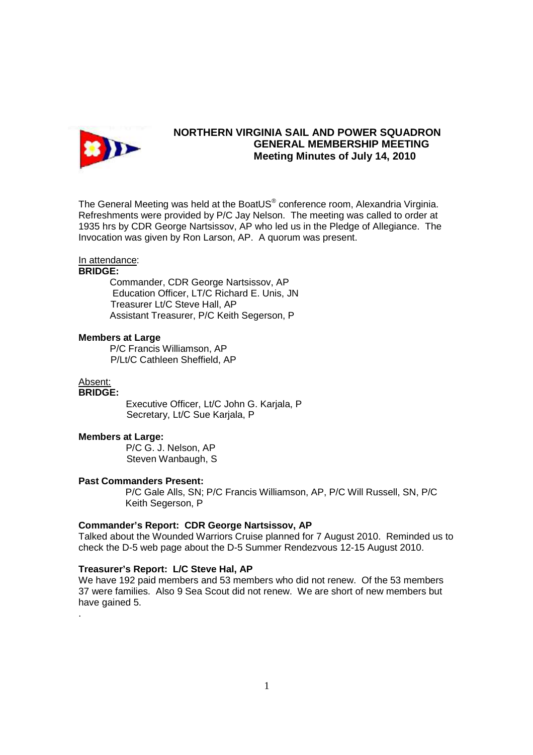

# **NORTHERN VIRGINIA SAIL AND POWER SQUADRON GENERAL MEMBERSHIP MEETING Meeting Minutes of July 14, 2010**

The General Meeting was held at the BoatUS $^{\circ}$  conference room, Alexandria Virginia. Refreshments were provided by P/C Jay Nelson. The meeting was called to order at 1935 hrs by CDR George Nartsissov, AP who led us in the Pledge of Allegiance. The Invocation was given by Ron Larson, AP. A quorum was present.

### In attendance:

## **BRIDGE:**

 Commander, CDR George Nartsissov, AP Education Officer, LT/C Richard E. Unis, JN Treasurer Lt/C Steve Hall, AP Assistant Treasurer, P/C Keith Segerson, P

### **Members at Large**

P/C Francis Williamson, AP P/Lt/C Cathleen Sheffield, AP

#### Absent: **BRIDGE:**

.

 Executive Officer, Lt/C John G. Karjala, P Secretary, Lt/C Sue Karjala, P

### **Members at Large:**

P/C G. J. Nelson, AP Steven Wanbaugh, S

#### **Past Commanders Present:**

P/C Gale Alls, SN; P/C Francis Williamson, AP, P/C Will Russell, SN, P/C Keith Segerson, P

## **Commander's Report: CDR George Nartsissov, AP**

Talked about the Wounded Warriors Cruise planned for 7 August 2010. Reminded us to check the D-5 web page about the D-5 Summer Rendezvous 12-15 August 2010.

### **Treasurer's Report: L/C Steve Hal, AP**

We have 192 paid members and 53 members who did not renew. Of the 53 members 37 were families. Also 9 Sea Scout did not renew. We are short of new members but have gained 5.